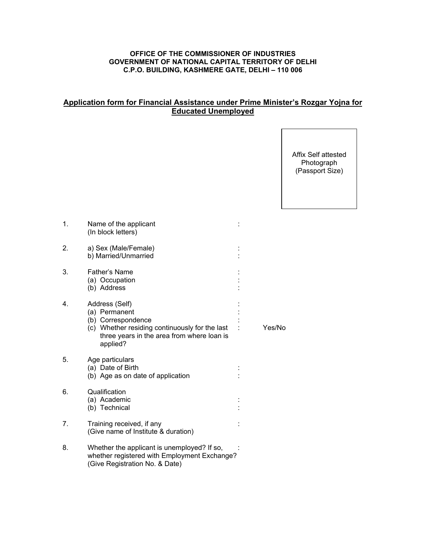## **OFFICE OF THE COMMISSIONER OF INDUSTRIES GOVERNMENT OF NATIONAL CAPITAL TERRITORY OF DELHI C.P.O. BUILDING, KASHMERE GATE, DELHI – 110 006**

## **Application form for Financial Assistance under Prime Minister's Rozgar Yojna for Educated Unemployed**

Affix Self attested Photograph (Passport Size)

| 1. | Name of the applicant<br>(In block letters)                                                                                                                       |        |
|----|-------------------------------------------------------------------------------------------------------------------------------------------------------------------|--------|
| 2. | a) Sex (Male/Female)<br>b) Married/Unmarried                                                                                                                      |        |
| 3. | Father's Name<br>(a) Occupation<br>(b) Address                                                                                                                    |        |
| 4. | Address (Self)<br>(a) Permanent<br>(b) Correspondence<br>(c) Whether residing continuously for the last<br>three years in the area from where loan is<br>applied? | Yes/No |
| 5. | Age particulars<br>(a) Date of Birth<br>(b) Age as on date of application                                                                                         |        |
| 6. | Qualification<br>(a) Academic<br>(b) Technical                                                                                                                    |        |
| 7. | Training received, if any<br>(Give name of Institute & duration)                                                                                                  |        |
| 8. | Whether the applicant is unemployed? If so,<br>whether registered with Employment Exchange?<br>(Give Registration No. & Date)                                     |        |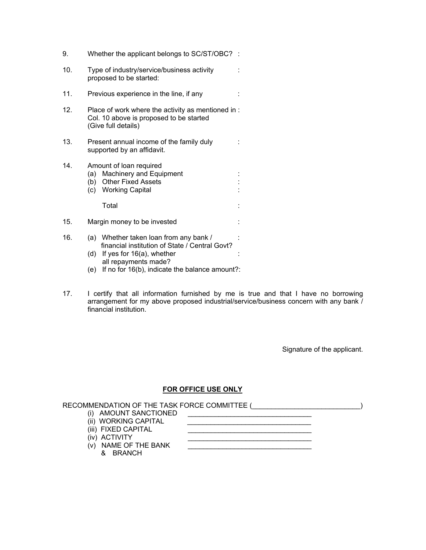| 9.  | Whether the applicant belongs to SC/ST/OBC? :                                                                                                           |  |
|-----|---------------------------------------------------------------------------------------------------------------------------------------------------------|--|
| 10. | Type of industry/service/business activity<br>proposed to be started:                                                                                   |  |
| 11. | Previous experience in the line, if any                                                                                                                 |  |
| 12. | Place of work where the activity as mentioned in :<br>Col. 10 above is proposed to be started<br>(Give full details)                                    |  |
| 13. | Present annual income of the family duly<br>supported by an affidavit.                                                                                  |  |
| 14. | Amount of loan required<br><b>Machinery and Equipment</b><br>(a)<br>(b) Other Fixed Assets<br>(c) Working Capital                                       |  |
|     | Total                                                                                                                                                   |  |
| 15. | Margin money to be invested                                                                                                                             |  |
| 16. | (a) Whether taken loan from any bank /<br>financial institution of State / Central Govt?<br>If yes for $16(a)$ , whether<br>(d)<br>all repayments made? |  |

- (e) If no for 16(b), indicate the balance amount?:
- 17. I certify that all information furnished by me is true and that I have no borrowing arrangement for my above proposed industrial/service/business concern with any bank / financial institution.

Signature of the applicant.

## **FOR OFFICE USE ONLY**

| RECOMMENDATION OF THE TASK FORCE COMMITTEE ( |  |
|----------------------------------------------|--|
| (i) AMOUNT SANCTIONED                        |  |
| (ii) WORKING CAPITAL                         |  |
| (iii) FIXED CAPITAL                          |  |
| (iv) ACTIVITY                                |  |
| (v) NAME OF THE BANK                         |  |
| BRANCH                                       |  |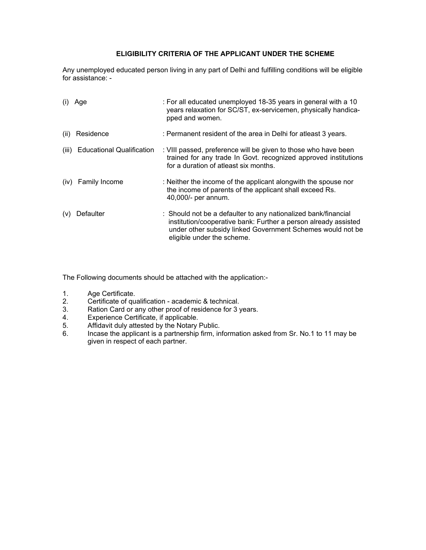## **ELIGIBILITY CRITERIA OF THE APPLICANT UNDER THE SCHEME**

Any unemployed educated person living in any part of Delhi and fulfilling conditions will be eligible for assistance: -

|       | $(i)$ Age                        | : For all educated unemployed 18-35 years in general with a 10<br>years relaxation for SC/ST, ex-servicemen, physically handica-<br>pped and women.                                                                           |
|-------|----------------------------------|-------------------------------------------------------------------------------------------------------------------------------------------------------------------------------------------------------------------------------|
| (ii)  | Residence                        | : Permanent resident of the area in Delhi for atleast 3 years.                                                                                                                                                                |
| (iii) | <b>Educational Qualification</b> | : VIII passed, preference will be given to those who have been<br>trained for any trade In Govt. recognized approved institutions<br>for a duration of atleast six months.                                                    |
|       | (iv) Family Income               | : Neither the income of the applicant alongwith the spouse nor<br>the income of parents of the applicant shall exceed Rs.<br>40,000/- per annum.                                                                              |
| (v)   | Defaulter                        | : Should not be a defaulter to any nationalized bank/financial<br>institution/cooperative bank: Further a person already assisted<br>under other subsidy linked Government Schemes would not be<br>eligible under the scheme. |

The Following documents should be attached with the application:-

- 1. Age Certificate.
- 2. Certificate of qualification academic & technical.<br>3. Ration Card or any other proof of residence for 3 y
- 3. Ration Card or any other proof of residence for 3 years.<br>4. Experience Certificate, if applicable.
- 4. Experience Certificate, if applicable.<br>5. Affidavit duly attested by the Notary
- 5. Affidavit duly attested by the Notary Public.<br>6. Incase the applicant is a partnership firm. in
- 6. Incase the applicant is a partnership firm, information asked from Sr. No.1 to 11 may be given in respect of each partner.